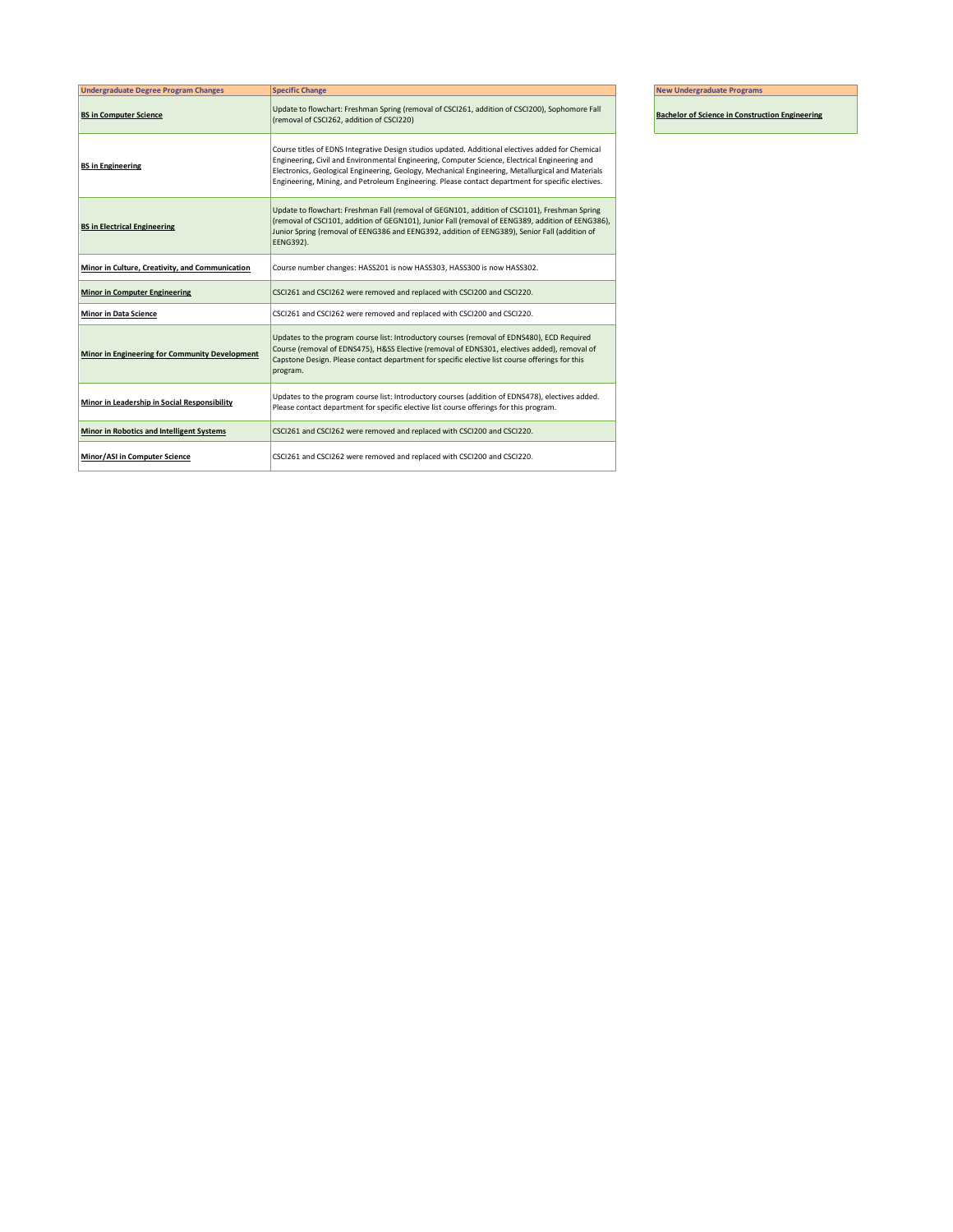| <b>Undergraduate Degree Program Changes</b>     | <b>Specific Change</b>                                                                                                                                                                                                                                                                                                                                                                                        |
|-------------------------------------------------|---------------------------------------------------------------------------------------------------------------------------------------------------------------------------------------------------------------------------------------------------------------------------------------------------------------------------------------------------------------------------------------------------------------|
| <b>BS in Computer Science</b>                   | Update to flowchart: Freshman Spring (removal of CSCI261, addition of CSCI200), Sophomore Fall<br>(removal of CSCI262, addition of CSCI220)                                                                                                                                                                                                                                                                   |
| <b>BS</b> in Engineering                        | Course titles of EDNS Integrative Design studios updated. Additional electives added for Chemical<br>Engineering, Civil and Environmental Engineering, Computer Science, Electrical Engineering and<br>Electronics, Geological Engineering, Geology, Mechanical Engineering, Metallurgical and Materials<br>Engineering, Mining, and Petroleum Engineering. Please contact department for specific electives. |
| <b>BS in Electrical Engineering</b>             | Update to flowchart: Freshman Fall (removal of GEGN101, addition of CSCI101), Freshman Spring<br>(removal of CSCI101, addition of GEGN101), Junior Fall (removal of EENG389, addition of EENG386),<br>Junior Spring (removal of EENG386 and EENG392, addition of EENG389), Senior Fall (addition of<br>EENG392).                                                                                              |
| Minor in Culture, Creativity, and Communication | Course number changes: HASS201 is now HASS303, HASS300 is now HASS302.                                                                                                                                                                                                                                                                                                                                        |
| <b>Minor in Computer Engineering</b>            | CSCI261 and CSCI262 were removed and replaced with CSCI200 and CSCI220.                                                                                                                                                                                                                                                                                                                                       |
| <b>Minor in Data Science</b>                    | CSCI261 and CSCI262 were removed and replaced with CSCI200 and CSCI220.                                                                                                                                                                                                                                                                                                                                       |
| Minor in Engineering for Community Development  | Updates to the program course list: Introductory courses (removal of EDNS480), ECD Required<br>Course (removal of EDNS475), H&SS Elective (removal of EDNS301, electives added), removal of<br>Capstone Design. Please contact department for specific elective list course offerings for this<br>program.                                                                                                    |
| Minor in Leadership in Social Responsibility    | Updates to the program course list: Introductory courses (addition of EDNS478), electives added.<br>Please contact department for specific elective list course offerings for this program.                                                                                                                                                                                                                   |
| Minor in Robotics and Intelligent Systems       | CSCI261 and CSCI262 were removed and replaced with CSCI200 and CSCI220.                                                                                                                                                                                                                                                                                                                                       |
| Minor/ASI in Computer Science                   | CSCI261 and CSCI262 were removed and replaced with CSCI200 and CSCI220.                                                                                                                                                                                                                                                                                                                                       |

**New Undergraduate Programs** 

**Bachelor of Science in Construction Engineering**